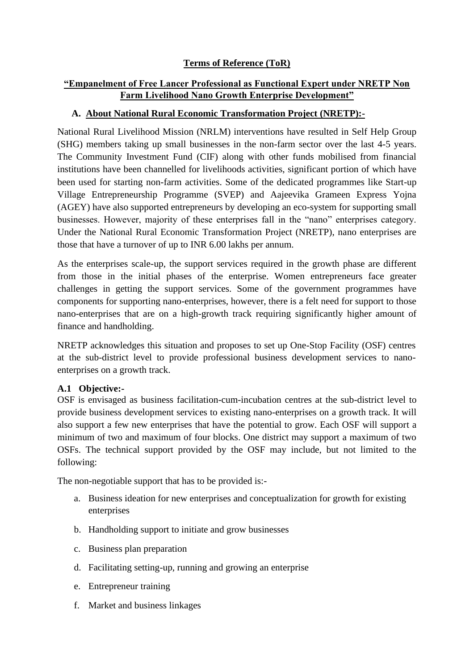# **Terms of Reference (ToR)**

# **"Empanelment of Free Lancer Professional as Functional Expert under NRETP Non Farm Livelihood Nano Growth Enterprise Development"**

# **A. About National Rural Economic Transformation Project (NRETP):-**

National Rural Livelihood Mission (NRLM) interventions have resulted in Self Help Group (SHG) members taking up small businesses in the non-farm sector over the last 4-5 years. The Community Investment Fund (CIF) along with other funds mobilised from financial institutions have been channelled for livelihoods activities, significant portion of which have been used for starting non-farm activities. Some of the dedicated programmes like Start-up Village Entrepreneurship Programme (SVEP) and Aajeevika Grameen Express Yojna (AGEY) have also supported entrepreneurs by developing an eco-system for supporting small businesses. However, majority of these enterprises fall in the "nano" enterprises category. Under the National Rural Economic Transformation Project (NRETP), nano enterprises are those that have a turnover of up to INR 6.00 lakhs per annum.

As the enterprises scale-up, the support services required in the growth phase are different from those in the initial phases of the enterprise. Women entrepreneurs face greater challenges in getting the support services. Some of the government programmes have components for supporting nano-enterprises, however, there is a felt need for support to those nano-enterprises that are on a high-growth track requiring significantly higher amount of finance and handholding.

NRETP acknowledges this situation and proposes to set up One-Stop Facility (OSF) centres at the sub-district level to provide professional business development services to nanoenterprises on a growth track.

### **A.1 Objective:-**

OSF is envisaged as business facilitation-cum-incubation centres at the sub-district level to provide business development services to existing nano-enterprises on a growth track. It will also support a few new enterprises that have the potential to grow. Each OSF will support a minimum of two and maximum of four blocks. One district may support a maximum of two OSFs. The technical support provided by the OSF may include, but not limited to the following:

The non-negotiable support that has to be provided is:-

- a. Business ideation for new enterprises and conceptualization for growth for existing enterprises
- b. Handholding support to initiate and grow businesses
- c. Business plan preparation
- d. Facilitating setting-up, running and growing an enterprise
- e. Entrepreneur training
- f. Market and business linkages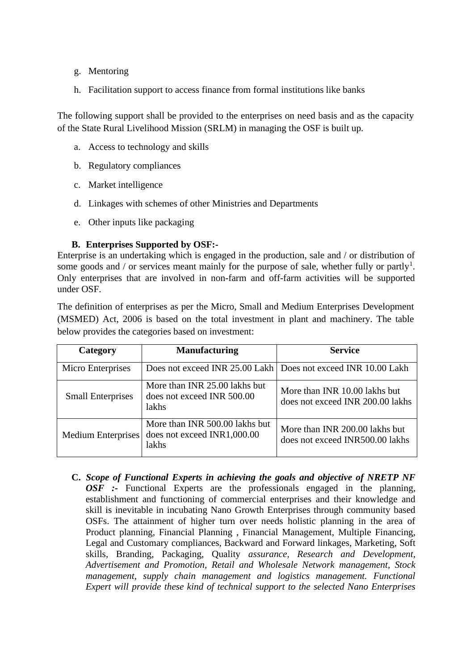- g. Mentoring
- h. Facilitation support to access finance from formal institutions like banks

The following support shall be provided to the enterprises on need basis and as the capacity of the State Rural Livelihood Mission (SRLM) in managing the OSF is built up.

- a. Access to technology and skills
- b. Regulatory compliances
- c. Market intelligence
- d. Linkages with schemes of other Ministries and Departments
- e. Other inputs like packaging

## **B. Enterprises Supported by OSF:-**

Enterprise is an undertaking which is engaged in the production, sale and / or distribution of some goods and / or services meant mainly for the purpose of sale, whether fully or partly<sup>1</sup>. Only enterprises that are involved in non-farm and off-farm activities will be supported under OSF.

The definition of enterprises as per the Micro, Small and Medium Enterprises Development (MSMED) Act, 2006 is based on the total investment in plant and machinery. The table below provides the categories based on investment:

| Category                 | <b>Manufacturing</b>                                                   | <b>Service</b>                                                    |
|--------------------------|------------------------------------------------------------------------|-------------------------------------------------------------------|
| Micro Enterprises        |                                                                        | Does not exceed INR 25.00 Lakh   Does not exceed INR 10.00 Lakh   |
| <b>Small Enterprises</b> | More than INR 25.00 lakhs but<br>does not exceed INR 500.00<br>lakhs   | More than INR 10.00 lakhs but<br>does not exceed INR 200.00 lakhs |
| Medium Enterprises       | More than INR 500.00 lakhs but<br>does not exceed INR1,000.00<br>lakhs | More than INR 200.00 lakhs but<br>does not exceed INR500.00 lakhs |

**C.** *Scope of Functional Experts in achieving the goals and objective of NRETP NF OSF :-* Functional Experts are the professionals engaged in the planning, establishment and functioning of commercial enterprises and their knowledge and skill is inevitable in incubating Nano Growth Enterprises through community based OSFs. The attainment of higher turn over needs holistic planning in the area of Product planning, Financial Planning , Financial Management, Multiple Financing, Legal and Customary compliances, Backward and Forward linkages, Marketing, Soft skills, Branding, Packaging, Quality *assurance, Research and Development, Advertisement and Promotion, Retail and Wholesale Network management, Stock management, supply chain management and logistics management. Functional Expert will provide these kind of technical support to the selected Nano Enterprises*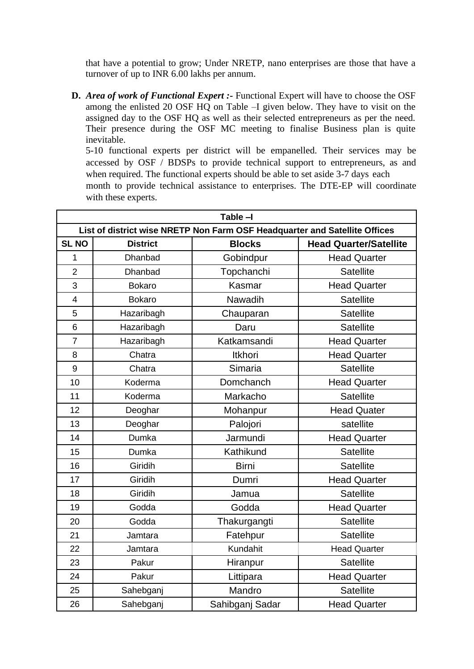that have a potential to grow; Under NRETP, nano enterprises are those that have a turnover of up to INR 6.00 lakhs per annum.

**D.** *Area of work of Functional Expert :***-** Functional Expert will have to choose the OSF among the enlisted 20 OSF HQ on Table –I given below. They have to visit on the assigned day to the OSF HQ as well as their selected entrepreneurs as per the need. Their presence during the OSF MC meeting to finalise Business plan is quite inevitable.

5-10 functional experts per district will be empanelled. Their services may be accessed by OSF / BDSPs to provide technical support to entrepreneurs, as and when required. The functional experts should be able to set aside 3-7 days each

month to provide technical assistance to enterprises. The DTE-EP will coordinate with these experts.

| Table -I                                                                   |                 |                 |                               |  |  |
|----------------------------------------------------------------------------|-----------------|-----------------|-------------------------------|--|--|
| List of district wise NRETP Non Farm OSF Headquarter and Satellite Offices |                 |                 |                               |  |  |
| <b>SL NO</b>                                                               | <b>District</b> | <b>Blocks</b>   | <b>Head Quarter/Satellite</b> |  |  |
| 1                                                                          | Dhanbad         | Gobindpur       | <b>Head Quarter</b>           |  |  |
| $\overline{2}$                                                             | Dhanbad         | Topchanchi      | <b>Satellite</b>              |  |  |
| 3                                                                          | <b>Bokaro</b>   | Kasmar          | <b>Head Quarter</b>           |  |  |
| 4                                                                          | <b>Bokaro</b>   | Nawadih         | <b>Satellite</b>              |  |  |
| 5                                                                          | Hazaribagh      | Chauparan       | <b>Satellite</b>              |  |  |
| $6\phantom{1}6$                                                            | Hazaribagh      | Daru            | <b>Satellite</b>              |  |  |
| $\overline{7}$                                                             | Hazaribagh      | Katkamsandi     | <b>Head Quarter</b>           |  |  |
| 8                                                                          | Chatra          | Itkhori         | <b>Head Quarter</b>           |  |  |
| 9                                                                          | Chatra          | Simaria         | <b>Satellite</b>              |  |  |
| 10                                                                         | Koderma         | Domchanch       | <b>Head Quarter</b>           |  |  |
| 11                                                                         | Koderma         | Markacho        | <b>Satellite</b>              |  |  |
| 12                                                                         | Deoghar         | Mohanpur        | <b>Head Quater</b>            |  |  |
| 13                                                                         | Deoghar         | Palojori        | satellite                     |  |  |
| 14                                                                         | Dumka           | Jarmundi        | <b>Head Quarter</b>           |  |  |
| 15                                                                         | Dumka           | Kathikund       | <b>Satellite</b>              |  |  |
| 16                                                                         | Giridih         | <b>Birni</b>    | <b>Satellite</b>              |  |  |
| 17                                                                         | Giridih         | Dumri           | <b>Head Quarter</b>           |  |  |
| 18                                                                         | Giridih         | Jamua           | <b>Satellite</b>              |  |  |
| 19                                                                         | Godda           | Godda           | <b>Head Quarter</b>           |  |  |
| 20                                                                         | Godda           | Thakurgangti    | <b>Satellite</b>              |  |  |
| 21                                                                         | Jamtara         | Fatehpur        | <b>Satellite</b>              |  |  |
| 22                                                                         | Jamtara         | Kundahit        | <b>Head Quarter</b>           |  |  |
| 23                                                                         | Pakur           | Hiranpur        | <b>Satellite</b>              |  |  |
| 24                                                                         | Pakur           | Littipara       | <b>Head Quarter</b>           |  |  |
| 25                                                                         | Sahebganj       | Mandro          | <b>Satellite</b>              |  |  |
| 26                                                                         | Sahebganj       | Sahibganj Sadar | <b>Head Quarter</b>           |  |  |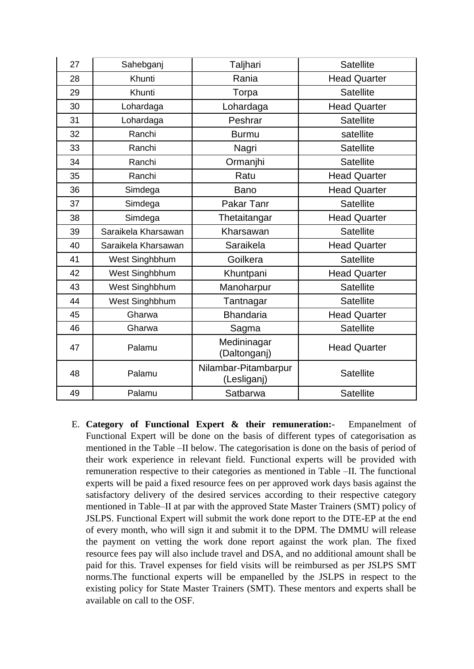| 27 | Sahebganj           | Taljhari                            | <b>Satellite</b>    |
|----|---------------------|-------------------------------------|---------------------|
| 28 | Khunti              | Rania                               | <b>Head Quarter</b> |
| 29 | Khunti              | Torpa                               | <b>Satellite</b>    |
| 30 | Lohardaga           | Lohardaga                           | <b>Head Quarter</b> |
| 31 | Lohardaga           | Peshrar                             | <b>Satellite</b>    |
| 32 | Ranchi              | <b>Burmu</b>                        | satellite           |
| 33 | Ranchi              | Nagri                               | <b>Satellite</b>    |
| 34 | Ranchi              | Ormanjhi                            | <b>Satellite</b>    |
| 35 | Ranchi              | Ratu                                | <b>Head Quarter</b> |
| 36 | Simdega             | Bano                                | <b>Head Quarter</b> |
| 37 | Simdega             | Pakar Tanr                          | <b>Satellite</b>    |
| 38 | Simdega             | Thetaitangar                        | <b>Head Quarter</b> |
| 39 | Saraikela Kharsawan | Kharsawan                           | <b>Satellite</b>    |
| 40 | Saraikela Kharsawan | Saraikela                           | <b>Head Quarter</b> |
| 41 | West Singhbhum      | Goilkera                            | <b>Satellite</b>    |
| 42 | West Singhbhum      | Khuntpani                           | <b>Head Quarter</b> |
| 43 | West Singhbhum      | Manoharpur                          | <b>Satellite</b>    |
| 44 | West Singhbhum      | Tantnagar                           | <b>Satellite</b>    |
| 45 | Gharwa              | <b>Bhandaria</b>                    | <b>Head Quarter</b> |
| 46 | Gharwa              | Sagma                               | <b>Satellite</b>    |
| 47 | Palamu              | Medininagar<br>(Daltonganj)         | <b>Head Quarter</b> |
| 48 | Palamu              | Nilambar-Pitambarpur<br>(Lesliganj) | <b>Satellite</b>    |
| 49 | Palamu              | Satbarwa                            | <b>Satellite</b>    |

E. **Category of Functional Expert & their remuneration:-** Empanelment of Functional Expert will be done on the basis of different types of categorisation as mentioned in the Table –II below. The categorisation is done on the basis of period of their work experience in relevant field. Functional experts will be provided with remuneration respective to their categories as mentioned in Table –II. The functional experts will be paid a fixed resource fees on per approved work days basis against the satisfactory delivery of the desired services according to their respective category mentioned in Table–II at par with the approved State Master Trainers (SMT) policy of JSLPS. Functional Expert will submit the work done report to the DTE-EP at the end of every month, who will sign it and submit it to the DPM. The DMMU will release the payment on vetting the work done report against the work plan. The fixed resource fees pay will also include travel and DSA, and no additional amount shall be paid for this. Travel expenses for field visits will be reimbursed as per JSLPS SMT norms.The functional experts will be empanelled by the JSLPS in respect to the existing policy for State Master Trainers (SMT). These mentors and experts shall be available on call to the OSF.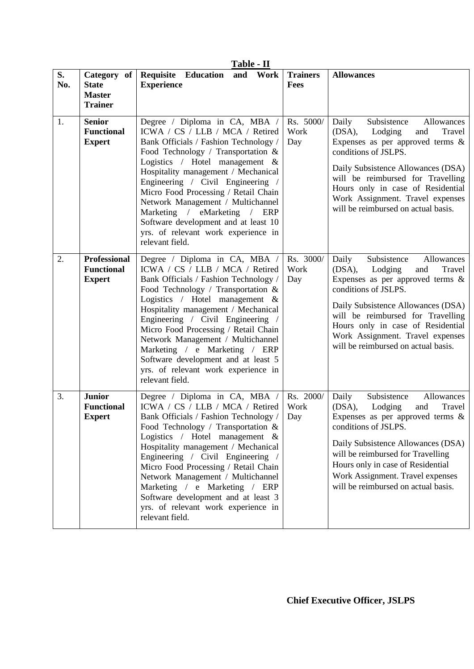| Table - II |                                                                |                                                                                                                                                                                                                                                                                                                                                                                                                                                                                      |                          |                                                                                                                                                                                                                                                                                                                                 |  |
|------------|----------------------------------------------------------------|--------------------------------------------------------------------------------------------------------------------------------------------------------------------------------------------------------------------------------------------------------------------------------------------------------------------------------------------------------------------------------------------------------------------------------------------------------------------------------------|--------------------------|---------------------------------------------------------------------------------------------------------------------------------------------------------------------------------------------------------------------------------------------------------------------------------------------------------------------------------|--|
| S.<br>No.  | Category of<br><b>State</b><br><b>Master</b><br><b>Trainer</b> | Requisite Education<br>and Work<br><b>Experience</b>                                                                                                                                                                                                                                                                                                                                                                                                                                 | <b>Trainers</b><br>Fees  | <b>Allowances</b>                                                                                                                                                                                                                                                                                                               |  |
| 1.         | <b>Senior</b><br><b>Functional</b><br><b>Expert</b>            | Degree / Diploma in CA, MBA /<br>ICWA / CS / LLB / MCA / Retired<br>Bank Officials / Fashion Technology /<br>Food Technology / Transportation $\&$<br>Logistics / Hotel management $\&$<br>Hospitality management / Mechanical<br>Engineering / Civil Engineering /<br>Micro Food Processing / Retail Chain<br>Network Management / Multichannel<br>Marketing / eMarketing / ERP<br>Software development and at least 10<br>yrs. of relevant work experience in<br>relevant field.   | Rs. 5000/<br>Work<br>Day | Subsistence<br>Daily<br>Allowances<br>(DSA), Lodging<br>Travel<br>and<br>Expenses as per approved terms $\&$<br>conditions of JSLPS.<br>Daily Subsistence Allowances (DSA)<br>will be reimbursed for Travelling<br>Hours only in case of Residential<br>Work Assignment. Travel expenses<br>will be reimbursed on actual basis. |  |
| 2.         | Professional<br><b>Functional</b><br><b>Expert</b>             | Degree / Diploma in CA, MBA /<br>ICWA / CS / LLB / MCA / Retired<br>Bank Officials / Fashion Technology /<br>Food Technology / Transportation &<br>Logistics / Hotel management &<br>Hospitality management / Mechanical<br>Engineering / Civil Engineering /<br>Micro Food Processing / Retail Chain<br>Network Management / Multichannel<br>Marketing / e Marketing / ERP<br>Software development and at least 5<br>yrs. of relevant work experience in<br>relevant field.         | Rs. 3000/<br>Work<br>Day | Subsistence<br>Daily<br>Allowances<br>(DSA), Lodging<br>and<br>Travel<br>Expenses as per approved terms $\&$<br>conditions of JSLPS.<br>Daily Subsistence Allowances (DSA)<br>will be reimbursed for Travelling<br>Hours only in case of Residential<br>Work Assignment. Travel expenses<br>will be reimbursed on actual basis. |  |
| 3.         | <b>Junior</b><br><b>Functional</b><br><b>Expert</b>            | Degree / Diploma in CA, MBA /<br>ICWA / CS / LLB / MCA / Retired<br>Bank Officials / Fashion Technology /  <br>Food Technology / Transportation $\&$<br>Logistics / Hotel management $\&$<br>Hospitality management / Mechanical<br>Engineering / Civil Engineering /<br>Micro Food Processing / Retail Chain<br>Network Management / Multichannel<br>Marketing / e Marketing / ERP<br>Software development and at least 3<br>yrs. of relevant work experience in<br>relevant field. | Rs. 2000/<br>Work<br>Day | Subsistence<br>Daily<br>Allowances<br>(DSA), Lodging<br>Travel<br>and<br>Expenses as per approved terms $\&$<br>conditions of JSLPS.<br>Daily Subsistence Allowances (DSA)<br>will be reimbursed for Travelling<br>Hours only in case of Residential<br>Work Assignment. Travel expenses<br>will be reimbursed on actual basis. |  |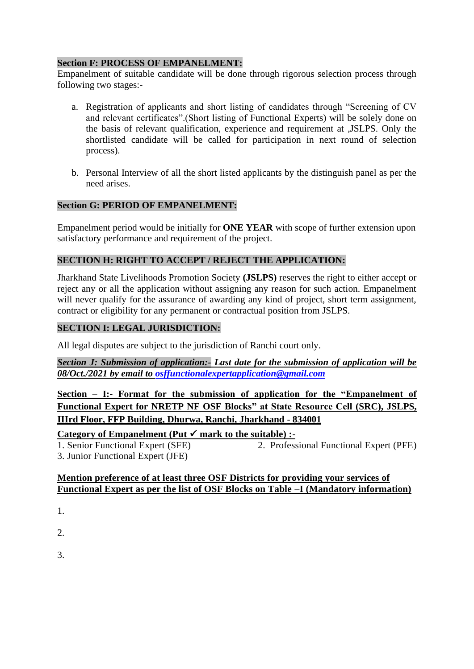#### **Section F: PROCESS OF EMPANELMENT:**

Empanelment of suitable candidate will be done through rigorous selection process through following two stages:-

- a. Registration of applicants and short listing of candidates through "Screening of CV and relevant certificates".(Short listing of Functional Experts) will be solely done on the basis of relevant qualification, experience and requirement at ,JSLPS. Only the shortlisted candidate will be called for participation in next round of selection process).
- b. Personal Interview of all the short listed applicants by the distinguish panel as per the need arises.

#### **Section G: PERIOD OF EMPANELMENT:**

Empanelment period would be initially for **ONE YEAR** with scope of further extension upon satisfactory performance and requirement of the project.

## **SECTION H: RIGHT TO ACCEPT / REJECT THE APPLICATION:**

Jharkhand State Livelihoods Promotion Society **(JSLPS)** reserves the right to either accept or reject any or all the application without assigning any reason for such action. Empanelment will never qualify for the assurance of awarding any kind of project, short term assignment, contract or eligibility for any permanent or contractual position from JSLPS.

### **SECTION I: LEGAL JURISDICTION:**

All legal disputes are subject to the jurisdiction of Ranchi court only.

*Section J: Submission of application:- Last date for the submission of application will be 08/Oct./2021 by email to [osffunctionalexpertapplication@gmail.com](mailto:osffunctionalexpertapplication@gmail.com)* 

**Section – I:- Format for the submission of application for the "Empanelment of Functional Expert for NRETP NF OSF Blocks" at State Resource Cell (SRC), JSLPS, IIIrd Floor, FFP Building, Dhurwa, Ranchi, Jharkhand - 834001**

Category of Empanelment (Put  $\checkmark$  mark to the suitable) :-

1. Senior Functional Expert (SFE) 2. Professional Functional Expert (PFE) 3. Junior Functional Expert (JFE)

#### **Mention preference of at least three OSF Districts for providing your services of Functional Expert as per the list of OSF Blocks on Table –I (Mandatory information)**

1.

2.

3.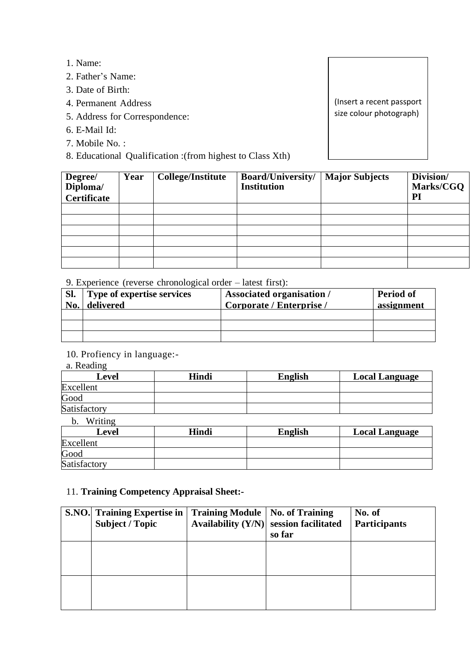- 1. Name:
- 2. Father's Name:
- 3. Date of Birth:
- 4. Permanent Address
- 5. Address for Correspondence:
- 6. E-Mail Id:
- 7. Mobile No. :
- 8. Educational Qualification :(from highest to Class Xth)

(Insert a recent passport size colour photograph)

| Degree/<br>Diploma/<br><b>Certificate</b> | Year | <b>College/Institute</b> | <b>Board/University/</b><br><b>Institution</b> | <b>Major Subjects</b> | Division/<br>Marks/CGQ<br>Pl |
|-------------------------------------------|------|--------------------------|------------------------------------------------|-----------------------|------------------------------|
|                                           |      |                          |                                                |                       |                              |
|                                           |      |                          |                                                |                       |                              |
|                                           |      |                          |                                                |                       |                              |
|                                           |      |                          |                                                |                       |                              |
|                                           |      |                          |                                                |                       |                              |
|                                           |      |                          |                                                |                       |                              |

9. Experience (reverse chronological order – latest first):

| Sl.<br>No. | Type of expertise services<br>delivered | <b>Associated organisation</b> /<br>Corporate / Enterprise / | <b>Period of</b><br>assignment |
|------------|-----------------------------------------|--------------------------------------------------------------|--------------------------------|
|            |                                         |                                                              |                                |
|            |                                         |                                                              |                                |
|            |                                         |                                                              |                                |

10. Profiency in language:-

a. Reading

| Level        | Hindi | <b>English</b> | <b>Local Language</b> |
|--------------|-------|----------------|-----------------------|
| Excellent    |       |                |                       |
| Good         |       |                |                       |
| Satisfactory |       |                |                       |

b. Writing

| Level        | Hindi | <b>English</b> | <b>Local Language</b> |
|--------------|-------|----------------|-----------------------|
| Excellent    |       |                |                       |
| Good         |       |                |                       |
| Satisfactory |       |                |                       |

## 11. **Training Competency Appraisal Sheet:-**

| <b>S.NO.</b> Training Expertise in<br><b>Subject / Topic</b> | <b>Training Module   No. of Training</b> | Availability $(Y/N)$ session facilitated<br>so far | No. of<br><b>Participants</b> |
|--------------------------------------------------------------|------------------------------------------|----------------------------------------------------|-------------------------------|
|                                                              |                                          |                                                    |                               |
|                                                              |                                          |                                                    |                               |